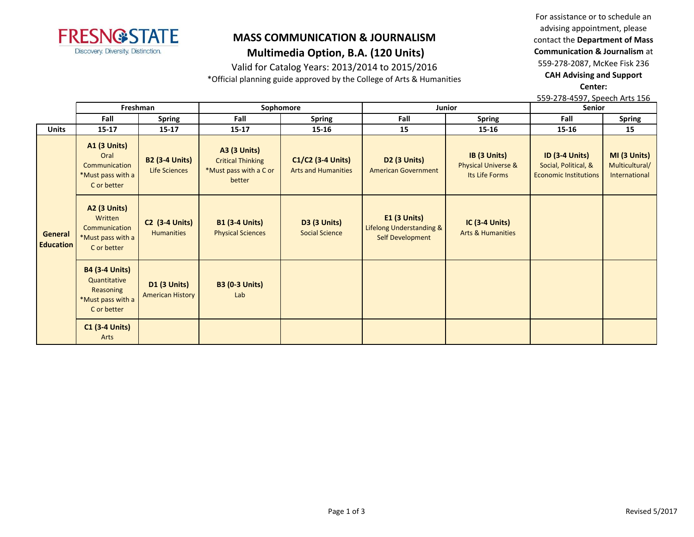

## **MASS COMMUNICATION & JOURNALISM Multimedia Option, B.A. (120 Units)**

Valid for Catalog Years: 2013/2014 to 2015/2016

\*Official planning guide approved by the College of Arts & Humanities

For assistance or to schedule an advising appointment, please contact the **Department of Mass Communication & Journalism** at 559-278-2087, McKee Fisk 236 **CAH Advising and Support Center:** 

559-278-4597, Speech Arts 156

|                             | Freshman                                                                               |                                                | Sophomore                                                                           |                                                   | <b>Junior</b>                                                  |                                                                  | <b>Senior</b>                                                                 |                                                 |
|-----------------------------|----------------------------------------------------------------------------------------|------------------------------------------------|-------------------------------------------------------------------------------------|---------------------------------------------------|----------------------------------------------------------------|------------------------------------------------------------------|-------------------------------------------------------------------------------|-------------------------------------------------|
|                             | Fall                                                                                   | <b>Spring</b>                                  | Fall                                                                                | <b>Spring</b>                                     | Fall                                                           | <b>Spring</b>                                                    | Fall                                                                          | <b>Spring</b>                                   |
| <b>Units</b>                | $15 - 17$                                                                              | $15 - 17$                                      | $15 - 17$                                                                           | 15-16                                             | 15                                                             | 15-16                                                            | 15-16                                                                         | 15                                              |
| General<br><b>Education</b> | <b>A1 (3 Units)</b><br>Oral<br>Communication<br>*Must pass with a<br>C or better       | <b>B2 (3-4 Units)</b><br>Life Sciences         | <b>A3 (3 Units)</b><br><b>Critical Thinking</b><br>*Must pass with a C or<br>better | $C1/C2$ (3-4 Units)<br><b>Arts and Humanities</b> | <b>D2 (3 Units)</b><br><b>American Government</b>              | IB (3 Units)<br><b>Physical Universe &amp;</b><br>Its Life Forms | <b>ID (3-4 Units)</b><br>Social, Political, &<br><b>Economic Institutions</b> | MI (3 Units)<br>Multicultural/<br>International |
|                             | <b>A2 (3 Units)</b><br>Written<br>Communication<br>*Must pass with a<br>C or better    | <b>C2 (3-4 Units)</b><br><b>Humanities</b>     | <b>B1 (3-4 Units)</b><br><b>Physical Sciences</b>                                   | <b>D3 (3 Units)</b><br><b>Social Science</b>      | $E1$ (3 Units)<br>Lifelong Understanding &<br>Self Development | <b>IC (3-4 Units)</b><br><b>Arts &amp; Humanities</b>            |                                                                               |                                                 |
|                             | <b>B4 (3-4 Units)</b><br>Quantitative<br>Reasoning<br>*Must pass with a<br>C or better | <b>D1 (3 Units)</b><br><b>American History</b> | <b>B3 (0-3 Units)</b><br>Lab                                                        |                                                   |                                                                |                                                                  |                                                                               |                                                 |
|                             | <b>C1 (3-4 Units)</b><br>Arts                                                          |                                                |                                                                                     |                                                   |                                                                |                                                                  |                                                                               |                                                 |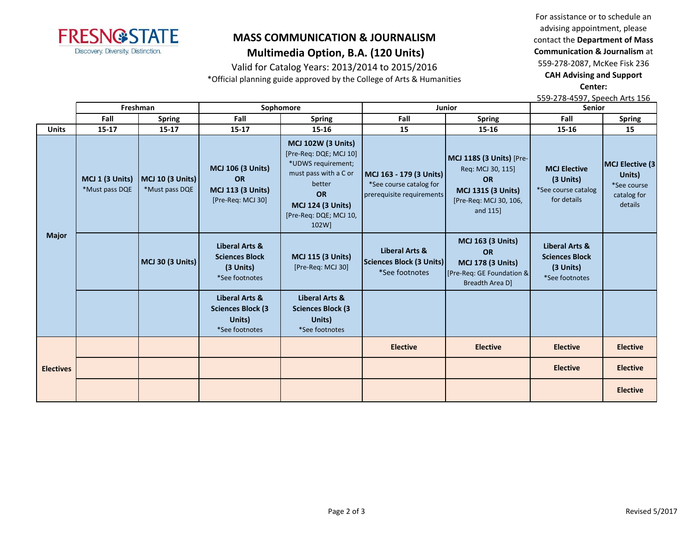

## **MASS COMMUNICATION & JOURNALISM Multimedia Option, B.A. (120 Units)**

Valid for Catalog Years: 2013/2014 to 2015/2016

\*Official planning guide approved by the College of Arts & Humanities

For assistance or to schedule an advising appointment, please contact the **Department of Mass Communication & Journalism** at 559-278-2087, McKee Fisk 236 **CAH Advising and Support Center:** 

559-278-4597, Speech Arts 156

|                  | Freshman                          |                                           | Sophomore                                                                              |                                                                                                                                                                                          | Junior                                                                          |                                                                                                                               | <b>Senior</b>                                                                     |                                                                    |
|------------------|-----------------------------------|-------------------------------------------|----------------------------------------------------------------------------------------|------------------------------------------------------------------------------------------------------------------------------------------------------------------------------------------|---------------------------------------------------------------------------------|-------------------------------------------------------------------------------------------------------------------------------|-----------------------------------------------------------------------------------|--------------------------------------------------------------------|
|                  | Fall                              | <b>Spring</b>                             | Fall                                                                                   | <b>Spring</b>                                                                                                                                                                            | Fall                                                                            | <b>Spring</b>                                                                                                                 | Fall                                                                              | <b>Spring</b>                                                      |
| <b>Units</b>     | $15 - 17$                         | $15 - 17$                                 | $15 - 17$                                                                              | 15-16                                                                                                                                                                                    | 15                                                                              | 15-16                                                                                                                         | 15-16                                                                             | 15                                                                 |
| <b>Major</b>     | MCJ 1 (3 Units)<br>*Must pass DQE | <b>MCJ 10 (3 Units)</b><br>*Must pass DQE | <b>MCJ 106 (3 Units)</b><br><b>OR</b><br><b>MCJ 113 (3 Units)</b><br>[Pre-Req: MCJ 30] | <b>MCJ 102W (3 Units)</b><br>[Pre-Req: DQE; MCJ 10]<br>*UDWS requirement;<br>must pass with a C or<br>better<br><b>OR</b><br><b>MCJ 124 (3 Units)</b><br>[Pre-Req: DQE; MCJ 10,<br>102W] | MCJ 163 - 179 (3 Units)<br>*See course catalog for<br>prerequisite requirements | MCJ 118S (3 Units) [Pre-<br>Req: MCJ 30, 115]<br><b>OR</b><br><b>MCJ 131S (3 Units)</b><br>[Pre-Req: MCJ 30, 106,<br>and 115] | <b>MCJ Elective</b><br>$(3$ Units)<br>*See course catalog<br>for details          | MCJ Elective (3<br>Units)<br>*See course<br>catalog for<br>details |
|                  |                                   | MCJ 30 (3 Units)                          | Liberal Arts &<br><b>Sciences Block</b><br>(3 Units)<br>*See footnotes                 | <b>MCJ 115 (3 Units)</b><br>[Pre-Req: MCJ 30]                                                                                                                                            | Liberal Arts &<br><b>Sciences Block (3 Units)</b><br>*See footnotes             | <b>MCJ 163 (3 Units)</b><br><b>OR</b><br><b>MCJ 178 (3 Units)</b><br>[Pre-Req: GE Foundation &<br>Breadth Area D]             | <b>Liberal Arts &amp;</b><br><b>Sciences Block</b><br>(3 Units)<br>*See footnotes |                                                                    |
|                  |                                   |                                           | Liberal Arts &<br><b>Sciences Block (3)</b><br>Units)<br>*See footnotes                | Liberal Arts &<br><b>Sciences Block (3</b><br>Units)<br>*See footnotes                                                                                                                   |                                                                                 |                                                                                                                               |                                                                                   |                                                                    |
| <b>Electives</b> |                                   |                                           |                                                                                        |                                                                                                                                                                                          | <b>Elective</b>                                                                 | <b>Elective</b>                                                                                                               | <b>Elective</b>                                                                   | <b>Elective</b>                                                    |
|                  |                                   |                                           |                                                                                        |                                                                                                                                                                                          |                                                                                 |                                                                                                                               | <b>Elective</b>                                                                   | <b>Elective</b>                                                    |
|                  |                                   |                                           |                                                                                        |                                                                                                                                                                                          |                                                                                 |                                                                                                                               |                                                                                   | <b>Elective</b>                                                    |